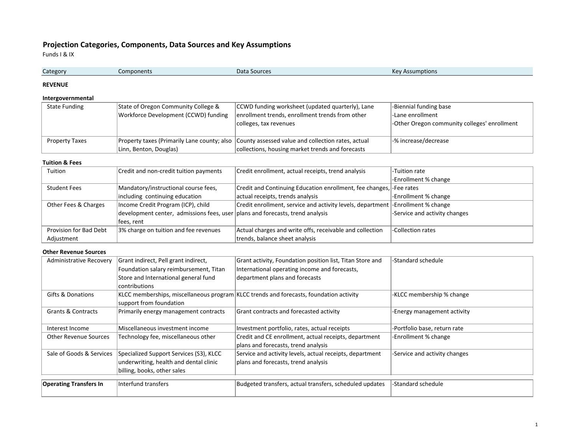# **Projection Categories, Components, Data Sources and Key Assumptions**

Funds I & IX

| Kev.<br>Data Sources<br>ssumptions<br>Category<br>nponents<br>LON<br>. |
|------------------------------------------------------------------------|
|------------------------------------------------------------------------|

## **REVENUE**

## **Intergovernmental**

| <b>State Funding</b> | State of Oregon Community College &  | <b>CCWD</b> funding worksheet (updated quarterly), Lane                                        | -Biennial funding base                       |  |
|----------------------|--------------------------------------|------------------------------------------------------------------------------------------------|----------------------------------------------|--|
|                      | Workforce Development (CCWD) funding | enrollment trends, enrollment trends from other                                                | -Lane enrollment                             |  |
|                      |                                      | colleges, tax revenues                                                                         | -Other Oregon community colleges' enrollment |  |
|                      |                                      |                                                                                                |                                              |  |
| Property Taxes       |                                      | Property taxes (Primarily Lane county; also County assessed value and collection rates, actual | -% increase/decrease                         |  |
|                      | Linn, Benton, Douglas)               | collections, housing market trends and forecasts                                               |                                              |  |

#### **Tuition & Fees**

| Tuition                | Credit and non-credit tuition payments                                                | Credit enrollment, actual receipts, trend analysis                               | -Tuition rate                 |
|------------------------|---------------------------------------------------------------------------------------|----------------------------------------------------------------------------------|-------------------------------|
|                        |                                                                                       |                                                                                  | -Enrollment % change          |
| <b>Student Fees</b>    | Mandatory/instructional course fees,                                                  | Credit and Continuing Education enrollment, fee changes, -Fee rates              |                               |
|                        | including continuing education                                                        | actual receipts, trends analysis                                                 | -Enrollment % change          |
| Other Fees & Charges   | Income Credit Program (ICP), child                                                    | Credit enrollment, service and activity levels, department - Enrollment % change |                               |
|                        | development center, admissions fees, user $\vert$ plans and forecasts, trend analysis |                                                                                  | -Service and activity changes |
|                        | fees, rent                                                                            |                                                                                  |                               |
| Provision for Bad Debt | 3% charge on tuition and fee revenues                                                 | Actual charges and write offs, receivable and collection                         | -Collection rates             |
| Adjustment             |                                                                                       | trends, balance sheet analysis                                                   |                               |

## **Other Revenue Sources**

| <b>Administrative Recovery</b> | Grant indirect, Pell grant indirect,                                                         | Grant activity, Foundation position list, Titan Store and                              | -Standard schedule            |
|--------------------------------|----------------------------------------------------------------------------------------------|----------------------------------------------------------------------------------------|-------------------------------|
|                                | Foundation salary reimbursement, Titan                                                       | International operating income and forecasts,                                          |                               |
|                                | Store and International general fund                                                         | department plans and forecasts                                                         |                               |
|                                | contributions                                                                                |                                                                                        |                               |
| <b>Gifts &amp; Donations</b>   |                                                                                              | KLCC memberships, miscellaneous program KLCC trends and forecasts, foundation activity | -KLCC membership % change     |
|                                | support from foundation                                                                      |                                                                                        |                               |
| Grants & Contracts             | Primarily energy management contracts                                                        | Grant contracts and forecasted activity                                                | -Energy management activity   |
|                                |                                                                                              |                                                                                        |                               |
| Interest Income                | Miscellaneous investment income                                                              | Investment portfolio, rates, actual receipts                                           | -Portfolio base, return rate  |
| <b>Other Revenue Sources</b>   | Credit and CE enrollment, actual receipts, department<br>Technology fee, miscellaneous other |                                                                                        | -Enrollment % change          |
|                                |                                                                                              | plans and forecasts, trend analysis                                                    |                               |
| Sale of Goods & Services       | Specialized Support Services (S3), KLCC                                                      | Service and activity levels, actual receipts, department                               | -Service and activity changes |
|                                | underwriting, health and dental clinic                                                       | plans and forecasts, trend analysis                                                    |                               |
|                                | billing, books, other sales                                                                  |                                                                                        |                               |
|                                |                                                                                              |                                                                                        |                               |
| <b>Operating Transfers In</b>  | Interfund transfers                                                                          | Budgeted transfers, actual transfers, scheduled updates                                | <b>Standard schedule</b>      |
|                                |                                                                                              |                                                                                        |                               |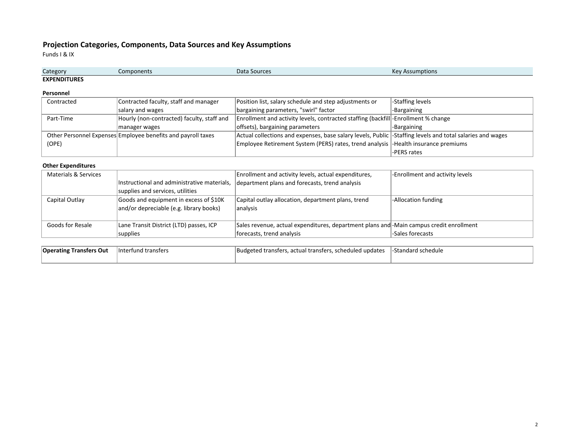# **Projection Categories, Components, Data Sources and Key Assumptions**

Funds I & IX

| Category            | Components | Data Sources | <b>Key Assumptions</b> |
|---------------------|------------|--------------|------------------------|
| <b>EXPENDITURES</b> |            |              |                        |

#### **Personnel**

|                                                         | Contracted | Contracted faculty, staff and manager                        | Position list, salary schedule and step adjustments or                                                     | -Staffing levels |
|---------------------------------------------------------|------------|--------------------------------------------------------------|------------------------------------------------------------------------------------------------------------|------------------|
|                                                         |            | salary and wages                                             | bargaining parameters, "swirl" factor                                                                      | -Bargaining      |
| Hourly (non-contracted) faculty, staff and<br>Part-Time |            |                                                              | Enrollment and activity levels, contracted staffing (backfill)-Enrollment % change                         |                  |
|                                                         |            | manager wages                                                | offsets), bargaining parameters                                                                            | -Bargaining      |
|                                                         |            | Other Personnel Expenses Employee benefits and payroll taxes | Actual collections and expenses, base salary levels, Public  -Staffing levels and total salaries and wages |                  |
|                                                         | (OPE)      |                                                              | Employee Retirement System (PERS) rates, trend analysis  -Health insurance premiums                        |                  |
|                                                         |            |                                                              |                                                                                                            | -PERS rates      |

#### **Other Expenditures**

| Materials & Services |                                             | Enrollment and activity levels, actual expenditures,                                    | -Enrollment and activity levels |
|----------------------|---------------------------------------------|-----------------------------------------------------------------------------------------|---------------------------------|
|                      | Instructional and administrative materials, | department plans and forecasts, trend analysis                                          |                                 |
|                      | supplies and services, utilities            |                                                                                         |                                 |
| Capital Outlay       | Goods and equipment in excess of \$10K      | Capital outlay allocation, department plans, trend                                      | -Allocation funding             |
|                      | and/or depreciable (e.g. library books)     | lanalysis                                                                               |                                 |
|                      |                                             |                                                                                         |                                 |
| Goods for Resale     | Lane Transit District (LTD) passes, ICP     | Sales revenue, actual expenditures, department plans and -Main campus credit enrollment |                                 |
|                      | supplies                                    | forecasts, trend analysis                                                               | -Sales forecasts                |

| <b>Operating</b><br>linterfund transfers<br>: Transfers Out |  | Budgeted transfers.<br>. actual transfers.<br>. scheduled updates | -Standard schedule |
|-------------------------------------------------------------|--|-------------------------------------------------------------------|--------------------|
|                                                             |  |                                                                   |                    |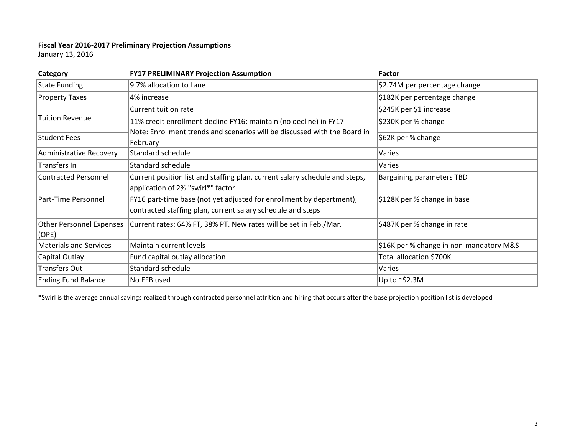## **Fiscal Year 2016‐2017 Preliminary Projection Assumptions**

January 13, 2016

| Category                                                                                                                                                   | <b>FY17 PRELIMINARY Projection Assumption</b>                                         | Factor                                  |
|------------------------------------------------------------------------------------------------------------------------------------------------------------|---------------------------------------------------------------------------------------|-----------------------------------------|
| <b>State Funding</b>                                                                                                                                       | 9.7% allocation to Lane                                                               | \$2.74M per percentage change           |
| <b>Property Taxes</b>                                                                                                                                      | 4% increase                                                                           | \$182K per percentage change            |
|                                                                                                                                                            | Current tuition rate                                                                  | \$245K per \$1 increase                 |
| Tuition Revenue                                                                                                                                            | 11% credit enrollment decline FY16; maintain (no decline) in FY17                     | \$230K per % change                     |
| Student Fees                                                                                                                                               | Note: Enrollment trends and scenarios will be discussed with the Board in<br>February | \$62K per % change                      |
| Administrative Recovery                                                                                                                                    | Standard schedule                                                                     | Varies                                  |
| Transfers In                                                                                                                                               | Standard schedule                                                                     | Varies                                  |
| <b>Contracted Personnel</b><br>Current position list and staffing plan, current salary schedule and steps,<br>application of 2% "swirl*" factor            |                                                                                       | <b>Bargaining parameters TBD</b>        |
| Part-Time Personnel<br>FY16 part-time base (not yet adjusted for enrollment by department),<br>contracted staffing plan, current salary schedule and steps |                                                                                       | \$128K per % change in base             |
| <b>Other Personnel Expenses</b><br>(OPE)                                                                                                                   | Current rates: 64% FT, 38% PT. New rates will be set in Feb./Mar.                     | \$487K per % change in rate             |
| <b>Materials and Services</b>                                                                                                                              | Maintain current levels                                                               | \$16K per % change in non-mandatory M&S |
| Capital Outlay                                                                                                                                             | Fund capital outlay allocation                                                        | Total allocation \$700K                 |
| <b>Transfers Out</b>                                                                                                                                       | Standard schedule                                                                     | Varies                                  |
| <b>Ending Fund Balance</b>                                                                                                                                 | No EFB used                                                                           | Up to $\sim$ \$2.3M                     |

\*Swirl is the average annual savings realized through contracted personnel attrition and hiring that occurs after the base projection position list is developed